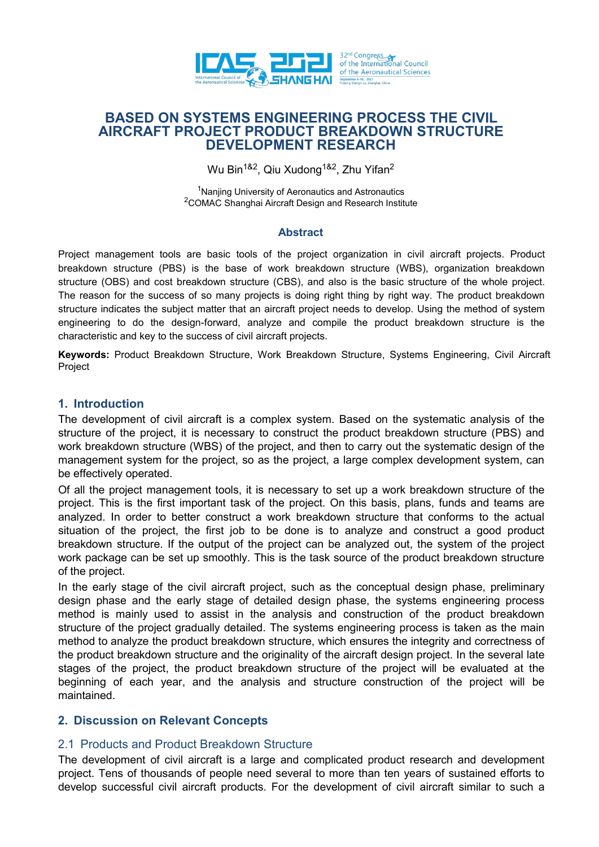

# **BASED ON SYSTEMS ENGINEERING PROCESS THE CIVIL AIRCRAFT PROJECT PRODUCT BREAKDOWN STRUCTURE DEVELOPMENT RESEARCH**

Wu Bin<sup>1&2</sup>, Qiu Xudong<sup>1&2</sup>, Zhu Yifan<sup>2</sup> 2

<sup>1</sup>Nanjing University of Aeronautics and Astronautics <sup>2</sup>COMAC Shanghai Aircraft Design and Research Institute

### **Abstract**

Project management tools are basic tools of the project organization in civil aircraft projects. Product breakdown structure (PBS) is the base of work breakdown structure (WBS), organization breakdown structure (OBS) and cost breakdown structure (CBS), and also is the basic structure of the whole project. The reason for the success of so many projects is doing right thing by right way. The product breakdown structure indicates the subject matter that an aircraft project needs to develop. Using the method of system engineering to do the design-forward, analyze and compile the product breakdown structure is the characteristic and key to the success of civil aircraft projects.

**Keywords:** Product Breakdown Structure, Work Breakdown Structure, Systems Engineering, Civil Aircraft Project

## **1. Introduction**

The development of civil aircraft is a complex system. Based on the systematic analysis of the structure of the project, it is necessary to construct the product breakdown structure (PBS) and work breakdown structure (WBS) of the project, and then to carry out the systematic design of the management system for the project, so as the project, a large complex development system, can be effectively operated.

Of all the project management tools, it is necessary to set up a work breakdown structure of the project. This is the first important task of the project. On this basis, plans, funds and teams are analyzed. In order to better construct a work breakdown structure that conforms to the actual situation of the project, the first job to be done is to analyze and construct a good product breakdown structure. If the output of the project can be analyzed out, the system of the project work package can be set up smoothly. This is the task source of the product breakdown structure of the project.

In the early stage of the civil aircraft project, such as the conceptual design phase, preliminary design phase and the early stage of detailed design phase, the systems engineering process method is mainly used to assist in the analysis and construction of the product breakdown structure of the project gradually detailed. The systems engineering process is taken as the main method to analyze the product breakdown structure, which ensures the integrity and correctness of the product breakdown structure and the originality of the aircraft design project. In the several late stages of the project, the product breakdown structure of the project will be evaluated at the beginning of each year, and the analysis and structure construction of the project will be maintained.

# **2. Discussion on Relevant Concepts**

# 2.1 Products and Product Breakdown Structure

The development of civil aircraft is a large and complicated product research and development project. Tens of thousands of people need several to more than ten years of sustained efforts to develop successful civil aircraft products. For the development of civil aircraft similar to such a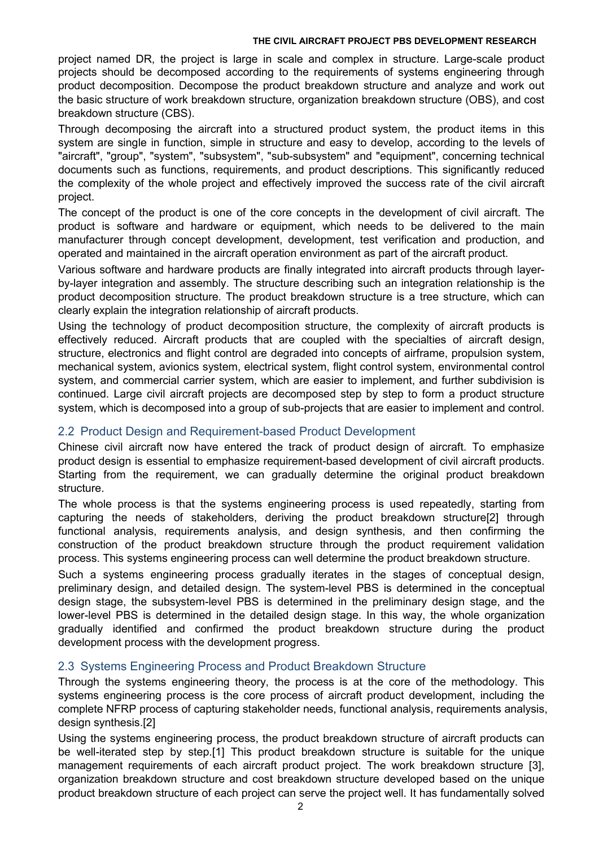project named DR, the project is large in scale and complex in structure. Large-scale product projects should be decomposed according to the requirements of systems engineering through product decomposition. Decompose the product breakdown structure and analyze and work out the basic structure of work breakdown structure, organization breakdown structure (OBS), and cost breakdown structure (CBS).

Through decomposing the aircraft into a structured product system, the product items in this system are single in function, simple in structure and easy to develop, according to the levels of "aircraft", "group", "system", "subsystem", "sub-subsystem" and "equipment", concerning technical documents such as functions, requirements, and product descriptions. This significantly reduced the complexity of the whole project and effectively improved the success rate of the civil aircraft project.

The concept of the product is one of the core concepts in the development of civil aircraft. The product is software and hardware or equipment, which needs to be delivered to the main manufacturer through concept development, development, test verification and production, and operated and maintained in the aircraft operation environment as part of the aircraft product.

Various software and hardware products are finally integrated into aircraft products through layer by-layer integration and assembly. The structure describing such an integration relationship is the product decomposition structure. The product breakdown structure is a tree structure, which can clearly explain the integration relationship of aircraft products.

Using the technology of product decomposition structure, the complexity of aircraft products is effectively reduced. Aircraft products that are coupled with the specialties of aircraft design, structure, electronics and flight control are degraded into concepts of airframe, propulsion system, mechanical system, avionics system, electrical system, flight control system, environmental control system, and commercial carrier system, which are easier to implement, and further subdivision is continued. Large civil aircraft projects are decomposed step by step to form a product structure system, which is decomposed into a group of sub-projects that are easier to implement and control.

# 2.2 Product Design and Requirement-based Product Development

Chinese civil aircraft now have entered the track of product design of aircraft. To emphasize product design is essential to emphasize requirement-based development of civil aircraft products. Starting from the requirement, we can gradually determine the original product breakdown structure.

The whole process is that the systems engineering process is used repeatedly, starting from capturing the needs of stakeholders, deriving the product breakdown structure[2] through functional analysis, requirements analysis, and design synthesis, and then confirming the construction of the product breakdown structure through the product requirement validation process. This systems engineering process can well determine the productbreakdown structure.

Such a systems engineering process gradually iterates in the stages of conceptual design, preliminary design, and detailed design. The system-level PBS is determined in the conceptual design stage, the subsystem-level PBS is determined in the preliminary design stage, and the lower-level PBS is determined in the detailed design stage. In this way, the whole organization gradually identified and confirmed the product breakdown structure during the product development process with the development progress.

## 2.3 Systems Engineering Process and Product Breakdown Structure

Through the systems engineering theory, the process is at the core of the methodology. This systems engineering process is the core process of aircraft product development, including the complete NFRP process of capturing stakeholder needs, functional analysis, requirements analysis, design synthesis.

Using the systems engineering process, the product breakdown structure of aircraft products can be well-iterated step by step.[1] This product breakdown structure is suitable for the unique management requirements of each aircraft product project. The work breakdown structure [3], organization breakdown structure and cost breakdown structure developed based on the unique product breakdown structure ofeach project can serve the project well. It has fundamentally solved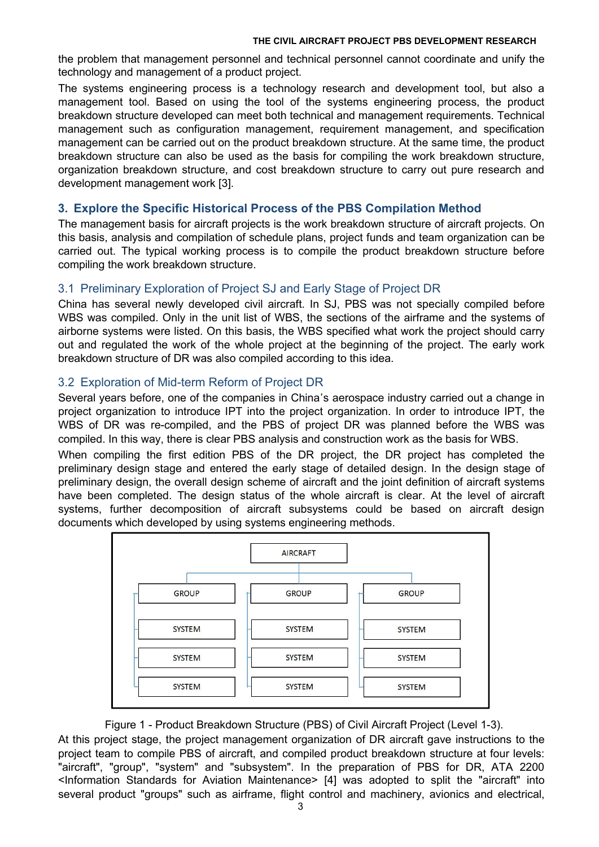the problem that management personnel and technical personnel cannot coordinate and unify the technology and management of a product project.

The systems engineering process is a technology research and development tool, but also a management tool. Based on using the tool of the systems engineering process, the product breakdown structure developed can meet both technical and management requirements. Technical management such as configuration management, requirement management, and specification management can be carried out on the product breakdown structure. At the same time, the product breakdown structure can also be used as the basis for compiling the work breakdown structure, organization breakdown structure, and cost breakdown structure to carry out pure research and development management work [3].

## **3. Explore the Specific Historical Process of the PBS Compilation Method**

The management basis for aircraft projects is the work breakdown structure of aircraft projects. On this basis, analysis and compilation of schedule plans, project funds and team organization can be carried out. The typical working process is to compile the product breakdown structure before compiling the work breakdown structure.

# 3.1 Preliminary Exploration of Project SJ and Early Stage of Project DR

China has several newly developed civil aircraft. In SJ, PBS was not specially compiled before WBS was compiled. Only in the unit list of WBS, the sections of the airframe and the systems of airborne systems were listed. On this basis, the WBS specified what work the project should carry out and regulated the work of the whole project at the beginning of the project. The early work breakdown structure of DR was also compiled according to this idea.

# 3.2 Exploration of Mid-term Reform of Project DR

Several years before, one of the companies in China's aerospace industry carried out a change in project organization to introduce IPT into the project organization. In order to introduce IPT, the WBS of DR was re-compiled, and the PBS of project DR was planned before the WBS was

compiled. In this way, there is clear PBS analysis and construction work as the basis for WBS.<br>When compiling the first edition PBS of the DR project, the DR project has completed the preliminary design stage and entered the early stage of detailed design. In the design stage of preliminary design, the overall design scheme of aircraft and the joint definition of aircraft systems have been completed. The design status of the whole aircraft is clear. At the level of aircraft systems, further decomposition of aircraft subsystems could be based on aircraft design documents which developed by using systems engineering methods.



## Figure 1 - Product Breakdown Structure (PBS) of Civil Aircraft Project (Level 1-3).

At this project stage, the project management organization of DR aircraft gave instructions to the project team to compile PBS of aircraft, and compiled product breakdown structure at four levels: "aircraft", "group", "system" and "subsystem". In the preparation of PBS for DR, ATA 2200 <Information Standards for Aviation Maintenance> [4] was adopted to split the "aircraft" into several product "groups" such as airframe, flight control and machinery, avionics and electrical,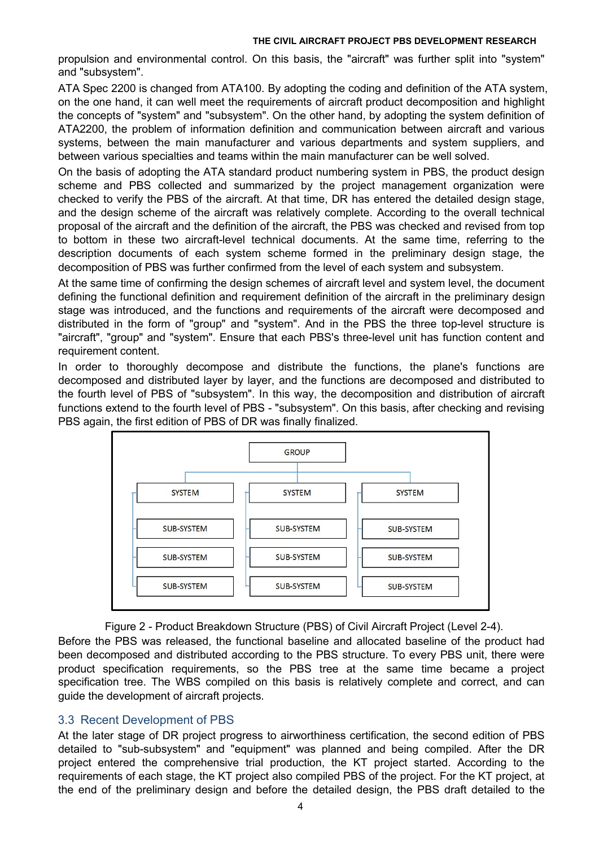propulsion and environmental control. On this basis, the "aircraft" was further split into "system" and "subsystem".

ATA Spec 2200 is changed from ATA100. By adopting the coding and definition of the ATA system, on the one hand, it can well meet the requirements of aircraft product decomposition and highlight the concepts of "system" and "subsystem". On the other hand, by adopting the system definition of ATA2200, the problem of information definition and communication between aircraft and various systems, between the main manufacturer and various departments and system suppliers, and between various specialties and teams within the main manufacturer can be well solved.

On the basis of adopting the ATA standard product numbering system in PBS, the product design scheme and PBS collected and summarized by the project management organization were checked to verify the PBS of the aircraft. At that time, DR has entered the detailed design stage, and the design scheme of the aircraft was relatively complete. According to the overall technical proposal of the aircraft and the definition of the aircraft, the PBS was checked and revised from top to bottom in these two aircraft-level technical documents. At the same time, referring to the description documents of each system scheme formed in the preliminary design stage, the decomposition of PBS was further confirmed from the level of each system and subsystem.<br>At the same time of confirming the design schemes of aircraft level and system level, the document

defining the functional definition and requirement definition of the aircraft in the preliminary design stage was introduced, and the functions and requirements of the aircraft were decomposed and distributed in the form of "group" and "system". And in the PBS the three top-level structure is "aircraft", "group" and "system". Ensure that each PBS's three-level unit has function content and requirement content.

In order to thoroughly decompose and distribute the functions, the plane's functions are decomposed and distributed layer by layer, and the functions are decomposed and distributed to the fourth level of PBS of "subsystem". In this way, the decomposition and distribution of aircraft functions extend to the fourth level of PBS - "subsystem". On this basis, after checking and revising PBS again, the first edition of PBS of DR was finally finalized.



Figure 2 - Product Breakdown Structure (PBS) of Civil Aircraft Project (Level 2-4).

Before the PBS was released, the functional baseline and allocated baseline of the product had been decomposed and distributed according to the PBS structure. To every PBS unit, there were product specification requirements, so the PBS tree at the same time became a project specification tree. The WBS compiled on this basis is relatively complete and correct, and can guide the development of aircraft projects.

# 3.3 Recent Development of PBS

At the later stage of DR project progress to airworthiness certification, the second edition of PBS detailed to "sub-subsystem" and "equipment" was planned and being compiled. After the DR project entered the comprehensive trial production, the KT project started. According to the requirements of each stage, the KT project also compiled PBS of the project. For the KT project, at the end of the preliminary design and before the detailed design, the PBS draft detailed to the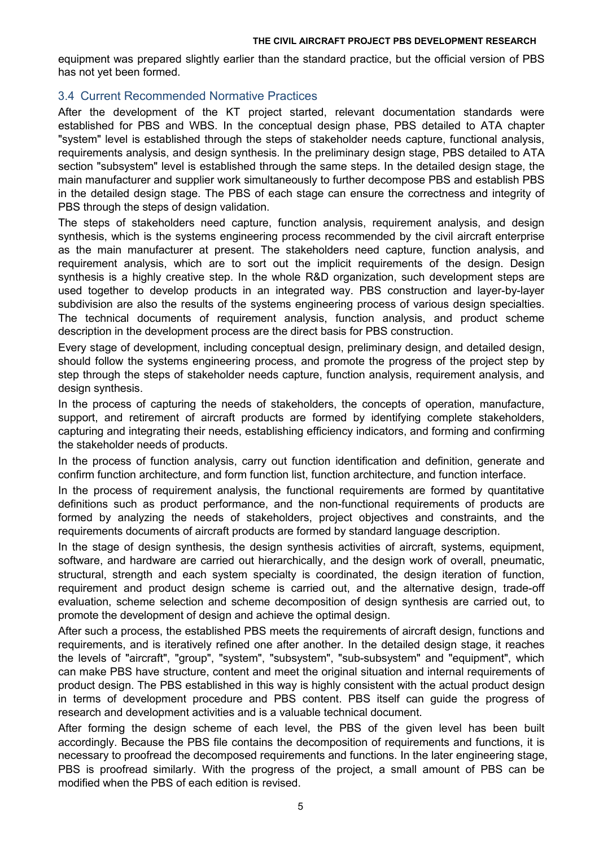equipment was prepared slightly earlier than the standard practice, but the official version of PBS has not yet been formed.

# 3.4 Current Recommended Normative Practices

After the development of the KT project started, relevant documentation standards were established for PBS and WBS. In the conceptual design phase, PBS detailed to ATA chapter "system" level is established through the steps of stakeholder needs capture, functional analysis, requirements analysis, and design synthesis. In the preliminary design stage, PBS detailed to ATA section "subsystem" level is established through the same steps. In the detailed design stage, the main manufacturer and supplier work simultaneously to further decompose PBS and establish PBS in the detailed design stage. The PBS of each stage can ensure the correctness and integrity of PBS through the steps of design validation.

The steps of stakeholders need capture, function analysis, requirement analysis, and design synthesis, which is the systems engineering process recommended by the civil aircraft enterprise as the main manufacturer at present. The stakeholders need capture, function analysis, and requirement analysis, which are to sort out the implicit requirements of the design. Design synthesis is a highly creative step. In the whole R&D organization, such development steps are used together to develop products in an integrated way. PBS construction and layer-by-layer subdivision are also the results of the systems engineering process of various design specialties.<br>The technical documents of requirement analysis, function analysis, and product scheme description in the development process are the direct basis for PBS construction.

Every stage of development, including conceptual design, preliminary design, and detailed design, should follow the systems engineering process, and promote the progress of the project step by step through the steps of stakeholder needs capture, function analysis, requirement analysis, and design synthesis.

In the process of capturing the needs of stakeholders, the concepts of operation, manufacture, support, and retirement of aircraft products are formed by identifying complete stakeholders, capturing and integrating their needs, establishing efficiency indicators, and forming and confirming the stakeholder needs of products.

In the process of function analysis, carry out function identification and definition, generate and confirm function architecture, and form function list, function architecture, and function interface.

In the process of requirement analysis, the functional requirements are formed by quantitative definitions such as product performance, and the non-functional requirements of products are formed by analyzing the needs of stakeholders, project objectives and constraints, and the requirements documents of aircraft products are formed by standard language description.

In the stage of design synthesis, the design synthesis activities of aircraft, systems, equipment, software, and hardware are carried out hierarchically, and the design work of overall, pneumatic, structural, strength and each system specialty is coordinated, the design iteration of function, requirement and product design scheme is carried out, and the alternative design, trade-off evaluation, scheme selection and scheme decomposition of design synthesis are carried out, to promote the development of design and achieve the optimal design.

After such a process, the established PBS meets the requirements of aircraft design, functions and requirements, and is iteratively refined one after another. In the detailed design stage, it reaches the levels of "aircraft", "group", "system", "subsystem", "sub-subsystem" and "equipment", which can make PBS have structure, content and meet the original situation and internal requirements of product design. The PBS established in this way is highly consistent with the actual product design in terms of development procedure and PBS content. PBS itself can guide the progress of research and development activities and is a valuable technical document.

After forming the design scheme of each level, the PBS of the given level has been built accordingly. Because the PBS file contains the decomposition of requirements and functions, it is necessary to proofread the decomposed requirements and functions. In the later engineering stage, PBS is proofread similarly. With the progress of the project, a small amount of PBS can be modified when the PBS of each edition is revised.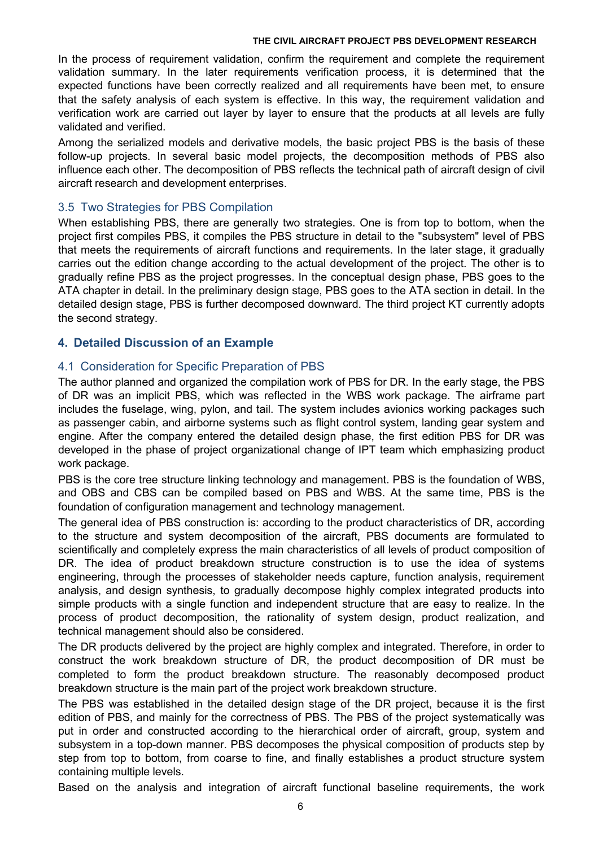In the process of requirement validation, confirm the requirement and complete the requirement validation summary. In the later requirements verification process, it is determined that the expected functions have been correctly realized and all requirements have been met, to ensure that the safety analysis of each system is effective. In this way, the requirement validation and verification work are carried out layer by layer to ensure that the products at all levels are fully validated and verified.

Among the serialized models and derivative models, the basic project PBS is the basis of these follow-up projects. In several basic model projects, the decomposition methods of PBS also influence each other. The decomposition of PBS reflects the technical path of aircraft design of civil aircraft research and development enterprises.

# 3.5 Two Strategies for PBS Compilation

When establishing PBS, there are generally two strategies. One is from top to bottom, when the project first compiles PBS, it compiles the PBS structure in detail to the "subsystem" level of PBS that meets the requirements of aircraft functions and requirements. In the later stage, it gradually carries out the edition change according to the actual development of the project. The other is to gradually refine PBS as the project progresses. In the conceptual design phase, PBS goes to the ATA chapter in detail. In the preliminary design stage, PBS goes to the ATA section in detail. In the detailed design stage, PBS is further decomposed downward. The third project KT currently adopts the second strategy.

# **4. Detailed Discussion of an Example**

# 4.1 Consideration for Specific Preparation of PBS

The author planned and organized the compilation work of PBS for DR. In the early stage, the PBS of DR was an implicit PBS, which was reflected in the WBS work package. The airframe part includes the fuselage, wing, pylon, and tail. The system includes avionics working packages such as passenger cabin, and airborne systems such as flight control system, landing gear system and engine. After the company entered the detailed design phase, the first edition PBS for DR was developed in the phase of project organizational change of IPT team which emphasizing product work package.

PBS is the core tree structure linking technology and management. PBS is the foundation of WBS, and OBS and CBS can be compiled based on PBS and WBS. At the same time, PBS is the foundation of configuration management and technology management.

The general idea of PBS construction is: according to the product characteristics of DR, according to the structure and system decomposition of the aircraft, PBS documents are formulated to scientifically and completely express the main characteristics of all levels of product composition of DR. The idea of product breakdown structure construction is to use the idea of systems engineering, through the processes of stakeholder needs capture, function analysis, requirement analysis, and design synthesis, to gradually decompose highly complex integrated products into simple products with a single function and independent structure that are easy to realize. In the process of product decomposition, the rationality of system design, product realization, and technical management should also be considered.

The DR products delivered by the project are highly complex and integrated. Therefore, in order to construct the work breakdown structure of DR, the product decomposition of DR must be completed to form the product breakdown structure. The reasonably decomposed product breakdown structure is the main part of the project work breakdown structure.

The PBS was established in the detailed design stage of the DR project, because it is the first edition of PBS, and mainly for the correctness of PBS. The PBS of the project systematically was put in order and constructed according to the hierarchical order of aircraft, group, system and subsystem in a top-down manner. PBS decomposes the physical composition of products step by step from top to bottom, from coarse to fine, and finally establishes a product structure system containing multiple levels.

Based on the analysis and integration of aircraft functional baseline requirements, the work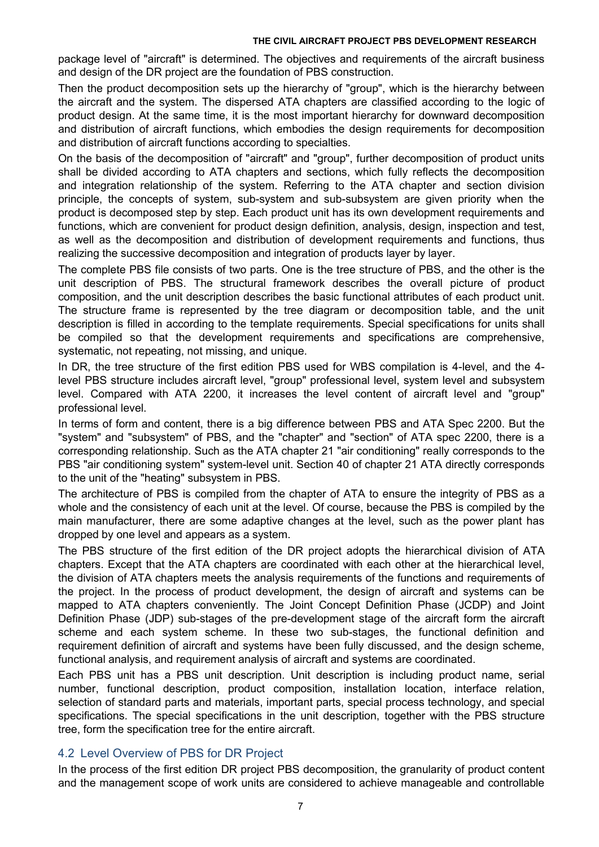package level of "aircraft" is determined. The objectives and requirements of the aircraft business and design of the DR project are the foundation of PBS construction.

Then the product decomposition sets up the hierarchy of "group", which is the hierarchy between the aircraft and the system. The dispersed ATA chapters are classified according to the logic of product design. At the same time, it is the most important hierarchy for downward decomposition and distribution of aircraft functions, which embodies the design requirements for decomposition and distribution of aircraft functions according to specialties.

On the basis of the decomposition of "aircraft" and "group", further decomposition of product units shall be divided according to ATA chapters and sections, which fully reflects the decomposition and integration relationship of the system. Referring to the ATA chapter and section division principle, the concepts of system, sub-system and sub-subsystem are given priority when the product is decomposed step by step. Each product unit has its own development requirements and functions, which are convenient for product design definition, analysis, design, inspection and test, as well as the decomposition and distribution of development requirements and functions, thus realizing the successive decomposition and integration of products layer by layer.

The complete PBS file consists of two parts. One is the tree structure of PBS, and the other is the unit description of PBS. The structural framework describes the overall picture of product composition, and the unit description describes the basic functional attributes of each product unit. The structure frame is represented by the tree diagram or decomposition table, and the unit description is filled in according to the template requirements. Special specifications for units shall be compiled so that the development requirements and specifications are comprehensive, systematic, not repeating, not missing, and unique.

In DR, the tree structure of the first edition PBS used for WBS compilation is 4-level, and the 4level PBS structure includes aircraft level, "group" professional level, system level and subsystem level. Compared with ATA 2200, it increases the level content of aircraft level and "group" professional level.

In terms of form and content, there is a big difference between PBS and ATA Spec 2200. But the "system" and "subsystem" of PBS, and the "chapter" and "section" of ATA spec 2200, there is a corresponding relationship. Such as the ATA chapter 21 "air conditioning" really corresponds to the PBS "air conditioning system" system-level unit. Section 40 of chapter 21 ATA directly corresponds to the unit of the "heating" subsystem in PBS.

The architecture of PBS is compiled from the chapter of ATA to ensure the integrity of PBS as a whole and the consistency of each unit at the level. Of course, because the PBS is compiled by the main manufacturer, there are some adaptive changes at the level, such as the power plant has dropped by one level and appears as a system.

The PBS structure of the first edition of the DR project adopts the hierarchical division of ATA chapters. Except that the ATA chapters are coordinated with each other at the hierarchical level, the division of ATA chapters meets the analysis requirements of the functions and requirements of the project. In the process of product development, the design of aircraft and systems can be mapped to ATA chapters conveniently. The Joint Concept Definition Phase (JCDP) and Joint Definition Phase (JDP) sub-stages of the pre-development stage of the aircraft form the aircraft scheme and each system scheme. In these two sub-stages, the functional definition and requirement definition of aircraft and systems have been fully discussed, and the design scheme, functional analysis, and requirement analysis of aircraft and systems are coordinated.

Each PBS unit has a PBS unit description. Unit description is including product name, serial number, functional description, product composition, installation location, interface relation, selection of standard parts and materials, important parts, special process technology, and special specifications. The special specifications in the unit description, together with the PBS structure tree, form the specification tree for the entire aircraft.

# 4.2 Level Overview of PBS for DR Project

In the process of the first edition DR project PBS decomposition, the granularity of product content and the management scope of work units are considered to achieve manageable and controllable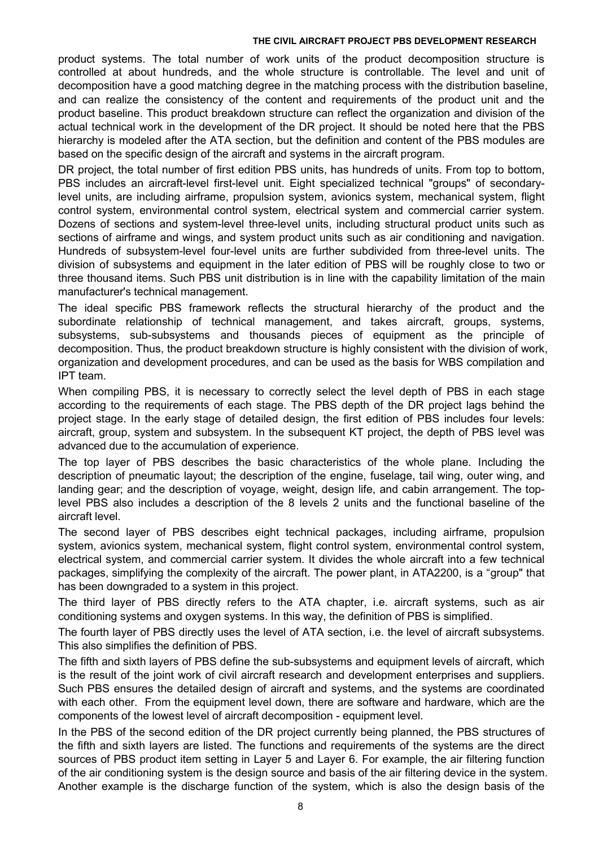product systems. The total number of work units of the product decomposition structure is controlled at about hundreds, and the whole structure is controllable. The level and unit of decomposition have a good matching degree in the matching process with the distribution baseline, and can realize the consistency of the content and requirements of the product unit and the product baseline. This product breakdown structure can reflect the organization and division of the actual technical work in the development of the DR project. It should be noted here that the PBS hierarchy is modeled after the ATA section, but the definition and content of the PBS modules are based on the specific design of the aircraft and systems in the aircraft program.

DR project, the total number of first edition PBS units, has hundreds of units. From top to bottom, PBS includes an aircraft-level first-level unit. Eight specialized technical "groups" of secondarylevel units, are including airframe, propulsion system, avionics system, mechanical system, flight control system, environmental control system, electrical system and commercial carrier system. Dozens of sections and system-level three-level units, including structural product units such as sections of airframe and wings, and system product units such as air conditioning and navigation. Hundreds of subsystem-level four-level units are further subdivided from three-level units. The division of subsystems and equipment in the later edition of PBS will be roughly close to two or three thousand items. Such PBS unit distribution is in line with the capability limitation of the main manufacturer's technical management.

The ideal specific PBS framework reflects the structural hierarchy of the product and the subordinate relationship of technical management, and takes aircraft, groups, systems, subsystems, sub-subsystems and thousands pieces of equipment as the principle of decomposition. Thus, the product breakdown structure is highly consistent with the division of work, organization and development procedures, and can be used as the basis for WBS compilation and IPT team.

When compiling PBS, it is necessary to correctly select the level depth of PBS in each stage according to the requirements of each stage. The PBS depth of the DR project lags behind the project stage. In the early stage of detailed design, the first edition of PBS includes four levels: aircraft, group, system and subsystem. In the subsequent KT project, the depth of PBS level was advanced due to the accumulation of experience.

The top layer of PBS describes the basic characteristics of the whole plane. Including the description of pneumatic layout; the description of the engine, fuselage, tail wing, outer wing, and landing gear; and the description of voyage, weight, design life, and cabin arrangement. The toplevel PBS also includes a description of the 8 levels 2 units and the functional baseline of the aircraft level.

The second layer of PBS describes eight technical packages, including airframe, propulsion system, avionics system, mechanical system, flight control system, environmental control system, electrical system, and commercial carrier system. It divides the whole aircraft into a few technical packages, simplifying the complexity of the aircraft. The power plant, in ATA2200, is a "group" that has been downgraded to a system in this project.

The third layer of PBS directly refers to the ATA chapter, i.e. aircraft systems, such as air conditioning systems and oxygen systems. In this way, the definition of PBS is simplified.

The fourth layer of PBS directly uses the level of ATA section, i.e. the level of aircraft subsystems. This also simplifies the definition of PBS.

The fifth and sixth layers of PBS define the sub-subsystems and equipment levels of aircraft, which is the result of the joint work of civil aircraft research and development enterprises and suppliers. Such PBS ensures the detailed design of aircraft and systems, and the systems are coordinated with each other. From the equipment level down, there are software and hardware, which are the components of the lowest level of aircraft decomposition - equipment level.

In the PBS of the second edition of the DR project currently being planned, the PBS structures of the fifth and sixth layers are listed. The functions and requirements of the systems are the direct sources of PBS product item setting in Layer 5 and Layer 6. For example, the air filtering function of the air conditioning system is the design source and basis of the air filtering device in the system. Another example is the discharge function of the system, which is also the design basis of the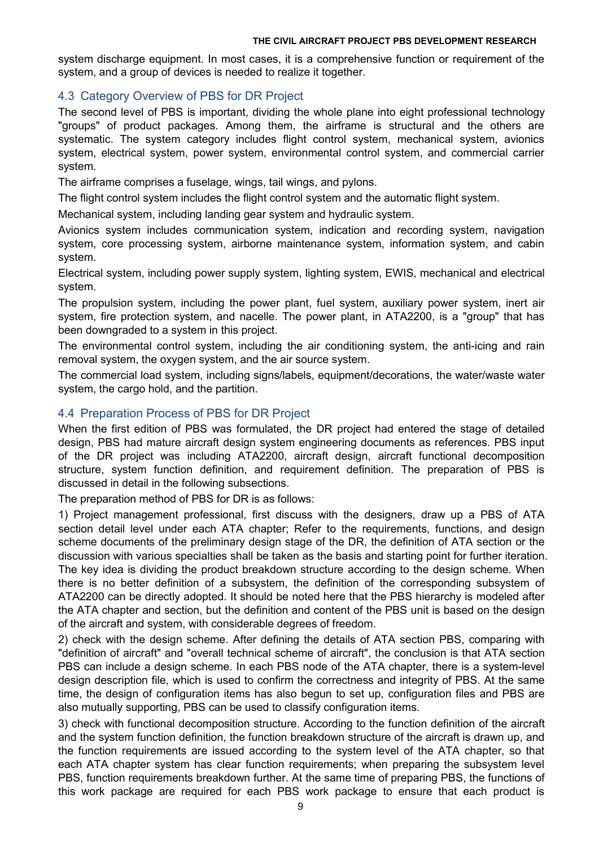system discharge equipment. In most cases, it is a comprehensive function or requirement of the system, and a group of devices is needed to realize it together.

# 4.3 Category Overview of PBS for DR Project

The second level of PBS is important, dividing the whole plane into eight professional technology "groups" of product packages. Among them, the airframe is structural and the others are systematic. The system category includes flight control system, mechanical system, avionics system, electrical system, power system, environmental control system, and commercial carrier system.

The airframe comprises a fuselage, wings, tail wings, and pylons.

The flight control system includes the flight control system and the automatic flight system.

Mechanical system, including landing gear system and hydraulic system.

Avionics system includes communication system, indication and recording system, navigation system, core processing system, airborne maintenance system, information system, and cabin system.

Electrical system, including power supply system, lighting system, EWIS, mechanical and electrical system.

The propulsion system, including the power plant, fuel system, auxiliary power system, inert air system, fire protection system, and nacelle. The power plant, in ATA2200, is a "group" that has been downgraded to a system in this project.

The environmental control system, including the air conditioning system, the anti-icing and rain removal system, the oxygen system, and the air source system.

The commercial load system, including signs/labels, equipment/decorations, the water/waste water system, the cargo hold, and the partition.

## 4.4 Preparation Process of PBS for DR Project

When the first edition of PBS was formulated, the DR project had entered the stage of detailed design, PBS had mature aircraft design system engineering documents as references. PBS input of the DR project was including ATA2200, aircraft design, aircraft functional decomposition structure, system function definition, and requirement definition. The preparation of PBS is discussed in detail in the following subsections.

The preparation method of PBS for DR is as follows:

1) Project management professional, first discuss with the designers, draw up a PBS of ATA section detail level under each ATA chapter; Refer to the requirements, functions, and design scheme documents of the preliminary design stage of the DR, the definition of ATA section or the discussion with various specialties shall be taken as the basis and starting point for further iteration. The key idea is dividing the product breakdown structure according to the design scheme. When there is no better definition of a subsystem, the definition of the corresponding subsystem of ATA2200 can be directly adopted. It should be noted here that the PBS hierarchy is modeled after the ATA chapter and section, but the definition and content of the PBS unit is based on the design of the aircraft and system, with considerable degrees of freedom.

2) check with the design scheme. After defining the details of ATA section PBS, comparing with "definition of aircraft" and "overall technical scheme of aircraft", the conclusion is that ATA section PBS can include a design scheme. In each PBS node of the ATA chapter, there is a system-level design description file, which is used to confirm the correctness and integrity of PBS. At the same time, the design of configuration items has also begun to set up, configuration files and PBS are also mutually supporting, PBS can be used to classify configuration items.

3) check with functional decomposition structure. According to the function definition of the aircraft and the system function definition, the function breakdown structure ofthe aircraft is drawn up, and the function requirements are issued according to the system level of the ATA chapter, so that each ATA chapter system has clear function requirements; when preparing the subsystem level PBS, function requirements breakdown further. At the same time of preparing PBS, the functions of this work package are required for each PBS work package to ensure that each product is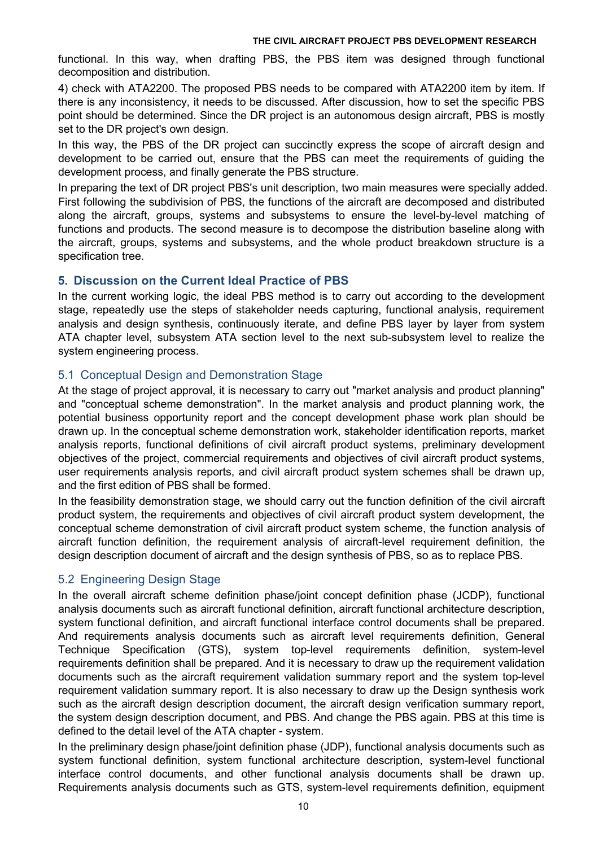functional. In this way, when drafting PBS, the PBS item was designed through functional decomposition and distribution.<br>4) check with ATA2200. The proposed PBS needs to be compared with ATA2200 item by item. If

there is any inconsistency, it needs to be discussed. After discussion, how to set the specific PBS point should be determined. Since the DR project is an autonomous design aircraft, PBS is mostly set to the DR project's own design.

In this way, the PBS of the DR project can succinctly express the scope of aircraft design and development to be carried out, ensure that the PBS canmeet the requirements of guiding the development process, and finally generate the PBS structure.

In preparing the text of DR project PBS's unit description, two main measures were specially added. First following the subdivision of PBS, the functions of the aircraft are decomposed and distributed along the aircraft, groups, systems and subsystems to ensure the level-by-level matching of functions and products. The second measure is to decompose the distribution baseline along with the aircraft, groups, systems and subsystems, and the whole product breakdown structure is a specification tree.

## **5. Discussion on the Current Ideal Practice of PBS**

In the current working logic, the ideal PBS method is to carry out according to the development stage, repeatedly use the steps of stakeholder needs capturing, functional analysis, requirement analysis and design synthesis, continuously iterate, and define PBS layer by layer from system ATA chapter level, subsystem ATA section level to the next sub-subsystem level to realize the system engineering process.

# 5.1 Conceptual Design and Demonstration Stage

At the stage of project approval, it is necessary to carry out "market analysis and product planning" and "conceptual scheme demonstration". In the market analysis and product planning work, the potential business opportunity report and the concept development phase work plan should be drawn up. In the conceptual scheme demonstration work, stakeholder identification reports, market analysis reports, functional definitions of civil aircraft product systems, preliminary development objectives of the project, commercial requirements and objectives of civil aircraft product systems, user requirements analysis reports, and civil aircraft product system schemes shall be drawn up, and the first edition of PBS shall be formed.

In the feasibility demonstration stage, we should carry out the function definition of the civil aircraft product system, the requirements and objectives of civil aircraft product system development, the conceptual scheme demonstration of civil aircraft product system scheme, the function analysis of aircraft function definition, the requirement analysis of aircraft-level requirement definition, the design description document of aircraft and the design synthesis of PBS, so as to replace PBS.

# 5.2 Engineering Design Stage

In the overall aircraft scheme definition phase/joint concept definition phase (JCDP), functional analysis documents such as aircraft functional definition, aircraft functional architecture description, system functional definition, and aircraft functional interface control documents shall be prepared. And requirements analysis documents such as aircraft level requirements definition, General Technique Specification (GTS), system top-level requirements definition, system-level requirements definition shall be prepared. And it is necessary to draw up the requirement validation documents such as the aircraft requirement validation summary report and the system top-level requirement validation summary report. It is also necessary to draw up the Design synthesis work such as the aircraft design description document, the aircraft design verification summary report, the system design description document, and PBS. And change the PBS again. PBS at this time is defined to the detail level of the ATA chapter - system.

In the preliminary design phase/joint definition phase (JDP), functional analysis documents such as system functional definition, system functional architecture description, system-level functional interface control documents, and other functional analysis documents shall be drawn up. Requirements analysis documents such as GTS, system-level requirements definition, equipment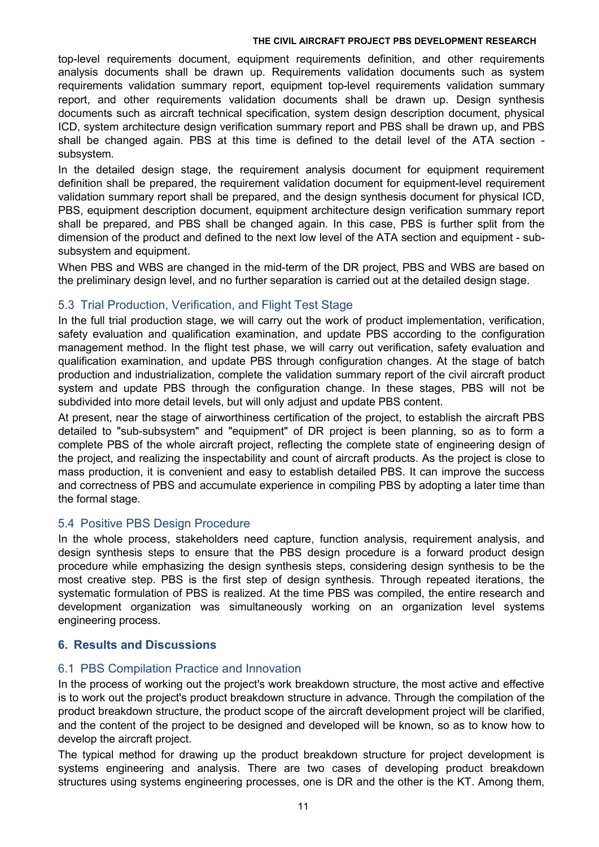top-level requirements document, equipment requirements definition, and other requirements analysis documents shall be drawn up. Requirements validation documents such as system requirements validation summary report, equipment top-level requirements validation summary report, and other requirements validation documents shall be drawn up. Design synthesis documents such as aircraft technical specification, system design description document, physical ICD, system architecture design verification summary report and PBS shall be drawn up, and PBS shall be changed again. PBS at this time is defined to the detail level of the ATA section subsystem.

In the detailed design stage, the requirement analysis document for equipment requirement definition shall be prepared, the requirement validation document for equipment-level requirement validation summary report shall be prepared, and the design synthesis document for physical ICD, PBS, equipment description document, equipment architecture design verification summary report shall be prepared, and PBS shall be changed again. In this case, PBS is further split from the dimension of the product and defined to the next low levelof the ATA section and equipment - sub subsystem and equipment.

When PBS and WBS are changed in the mid-term of the DR project, PBS and WBS are based on the preliminary design level, and no further separation is carried out at the detailed design stage.

# 5.3 Trial Production, Verification, and Flight Test Stage

In the full trial production stage, we will carry out the work of product implementation, verification, safety evaluation and qualification examination, and update PBS according to the configuration management method. In the flight test phase, we will carry out verification, safety evaluation and qualification examination, and update PBS through configuration changes. At the stage of batch production and industrialization, complete the validation summary report of the civil aircraft product system and update PBS through the configuration change. In these stages, PBS will not be subdivided into more detail levels, but will only adjust and update PBS content.

At present, near the stage of airworthiness certification of the project, to establish the aircraft PBS detailed to "sub-subsystem" and "equipment" of DR project is been planning, so as to form a complete PBS of the whole aircraft project, reflecting the complete state of engineering design of the project, and realizing the inspectability and count of aircraft products. As the project is close to mass production, it is convenient and easy to establish detailed PBS. It can improve the success and correctness of PBS and accumulate experience in compiling PBS by adopting a later time than the formal stage.

# 5.4 Positive PBS Design Procedure

In the whole process, stakeholders need capture, function analysis, requirement analysis, and design synthesis steps to ensure that the PBS design procedure is a forward product design procedure while emphasizing the design synthesis steps, considering design synthesis to be the most creative step. PBS is the first step of design synthesis. Through repeated iterations, the systematic formulation of PBS is realized. At the time PBS was compiled, the entire research and development organization was simultaneously working on an organization level systems engineering process.

# **6. Results and Discussions**

## 6.1 PBS Compilation Practice and Innovation

In the process of working out the project's work breakdown structure, the most active and effective is to work out the project's product breakdown structure in advance. Through the compilation of the product breakdown structure, the product scope of the aircraft development project will be clarified, and the content of the project to be designed and developed will be known, so as to know how to develop the aircraft project.

The typical method for drawing up the product breakdown structure for project development is systems engineering and analysis. There are two cases of developing product breakdown structures using systems engineering processes, one is DR and the other is the KT. Among them,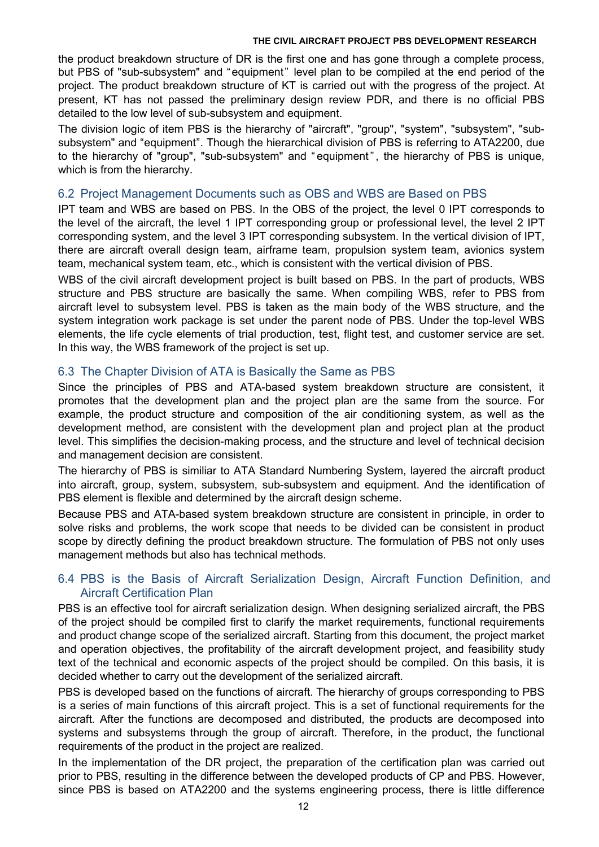the product breakdown structure of DR is the first one and has gone through a complete process, but PBS of "sub-subsystem" and "equipment" level plan to be compiled at the end period of the project. The product breakdown structure of KT is carried outwith the progress of the project. At present, KT has not passed the preliminary design review PDR, and there is no official PBS detailed to the low level of sub-subsystem and equipment.

The division logic of item PBS is the hierarchy of "aircraft", "group", "system", "subsystem", "subsubsystem" and "equipment". Though the hierarchical division of PBS is referring to ATA2200, due to the hierarchy of "group", "sub-subsystem" and " equipment", the hierarchy of PBS is unique, which is from the hierarchy.

## 6.2 Project Management Documents such as OBS and WBS are Based on PBS

IPT team and WBS are based on PBS. In the OBS of the project, the level 0 IPT corresponds to the level of the aircraft, the level 1 IPT corresponding group or professional level, the level 2 IPT corresponding system, and the level 3 IPT corresponding subsystem. In the vertical division of IPT, there are aircraft overall design team, airframe team, propulsion system team, avionics system team, mechanical system team, etc., which is consistent with the vertical division of PBS.

WBS of the civil aircraft development project is built based on PBS. In the part of products, WBS structure and PBS structure are basically the same. When compiling WBS, refer to PBS from aircraft level to subsystem level. PBS is taken as the main body of the WBS structure, and the system integration work package is set under the parent node of PBS. Under the top-level WBS elements, the life cycle elements of trial production, test, flight test, and customer service are set. In this way, the WBS framework of the project is set up.

## 6.3 The Chapter Division of ATA is Basically the Same as PBS

Since the principles of PBS and ATA-based system breakdown structure are consistent, it promotes that the development plan and the project plan are the same from the source. For example, the product structure and composition of the air conditioning system, as well as the development method, are consistent with the development plan and project plan at the product level. This simplifies the decision-making process, and the structure and level of technical decision and management decision are consistent.

The hierarchy of PBS is similiar to ATA Standard Numbering System, layered the aircraft product into aircraft, group, system, subsystem, sub-subsystem and equipment. And the identification of PBS element is flexible and determined by the aircraft design scheme.

Because PBS and ATA-based system breakdown structure are consistent in principle, in order to solve risks and problems, the work scope that needs to be divided can be consistent in product scope by directly defining the product breakdown structure. The formulation of PBS not only uses management methods but also has technical methods.

## 6.4 PBS is the Basis of Aircraft Serialization Design, Aircraft Function Definition, and Aircraft Certification Plan

PBS is an effective tool for aircraft serialization design. When designing serialized aircraft, the PBS of the project should be compiled first to clarify the market requirements, functional requirements and product change scope of the serialized aircraft. Starting from this document, the project market and operation objectives, the profitability of the aircraft development project, and feasibility study text of the technical and economic aspects of the project should be compiled. On this basis, it is decided whether to carry out the development of the serialized aircraft.

PBS is developed based on the functions of aircraft. The hierarchy of groups corresponding to PBS is a series of main functions of this aircraft project. This is a set of functional requirements for the aircraft. After the functions are decomposed and distributed, the products are decomposed into systems and subsystems through the group of aircraft. Therefore, in the product, the functional requirements of the product in the project are realized.

In the implementation of the DR project, the preparation of the certification plan was carried out prior to PBS, resulting in the difference between the developed products of CP and PBS. However, since PBS is based on ATA2200 and the systems engineering process, there is little difference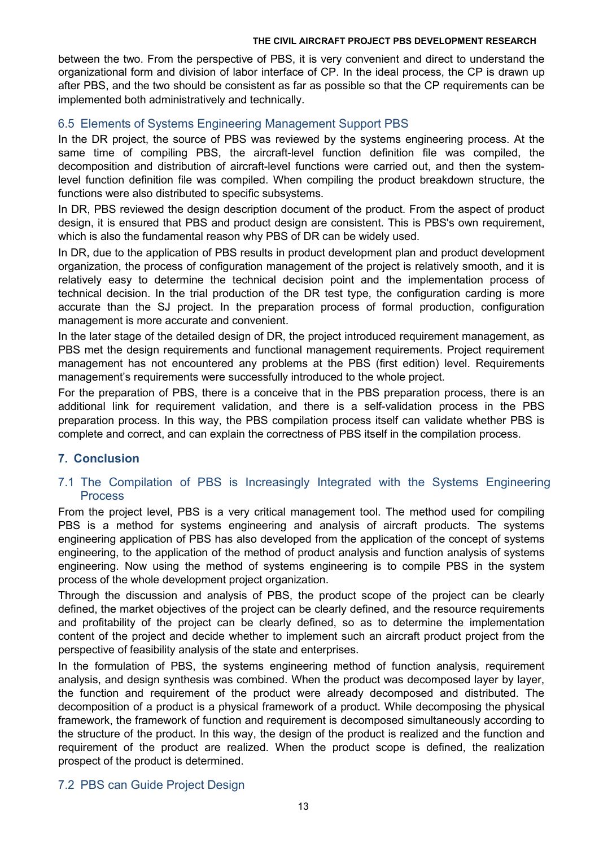between the two. From the perspective of PBS, it is very convenient and direct to understand the organizational form and division of labor interface of CP. In the ideal process, the CP is drawn up after PBS, and the two should be consistent as far as possible so that the CP requirements can be implemented both administratively and technically.

## 6.5 Elements of Systems Engineering Management Support PBS

In the DR project, the source of PBS was reviewed by the systems engineering process. At the same time of compiling PBS, the aircraft-level function definition file was compiled, the decomposition and distribution of aircraft-level functions were carried out, and then the systemlevel function definition file was compiled. When compiling the product breakdown structure, the functions were also distributed to specific subsystems.

In DR, PBS reviewed the design description document of the product. From the aspect of product design, it is ensured that PBS and product design are consistent. This is PBS's own requirement, which is also the fundamental reason why PBS of DR can be widely used.

In DR, due to the application of PBS results in product development plan and product development organization, the process of configuration management of the project is relatively smooth, and it is relatively easy to determine the technical decision point and the implementation process of technical decision. In the trial production of the DR test type, the configuration carding is more accurate than the SJ project. In the preparation process of formal production, configuration management is more accurate and convenient.

In the later stage of the detailed design of DR, the project introduced requirement management, as PBS met the design requirements and functional management requirements. Project requirement management has not encountered any problems at the PBS (first edition) level. Requirements management's requirements were successfully introduced to the whole project.

For the preparation of PBS, there is a conceive that in the PBS preparation process, there is an additional link for requirement validation, and there is a self-validation process in the PBS preparation process. In this way, the PBS compilation process itself can validate whether PBS is complete and correct, and can explain the correctness of PBS itself in the compilation process.

# **7. Conclusion**

# 7.1 The Compilation of PBS is Increasingly Integrated with the Systems Engineering Process

From the project level, PBS is a very critical management tool. The method used for compiling PBS is a method for systems engineering and analysis of aircraft products. The systems engineering application of PBS has also developed from the application of the concept of systems engineering, to the application of the method of product analysis and function analysis of systems engineering. Now using the method of systems engineering is to compile PBS in the system process of the whole development project organization.

Through the discussion and analysis of PBS, the product scope of the project can be clearly defined, the market objectives of the project can be clearly defined, and the resource requirements and profitability of the project can be clearly defined, so as to determine the implementation content of the project and decide whether to implement such an aircraft product project from the perspective of feasibility analysis of the state and enterprises.

In the formulation of PBS, the systems engineering method of function analysis, requirement analysis, and design synthesis was combined. When the product was decomposed layer by layer, the function and requirement of the product were already decomposed and distributed. The decomposition of a product is a physical framework of a product. While decomposing the physical framework, the framework of function and requirement is decomposed simultaneously according to the structure of the product. In this way, the design of the product is realized and the function and requirement of the product are realized. When the product scope is defined, the realization prospect of the product is determined.

## 7.2 PBS can Guide Project Design